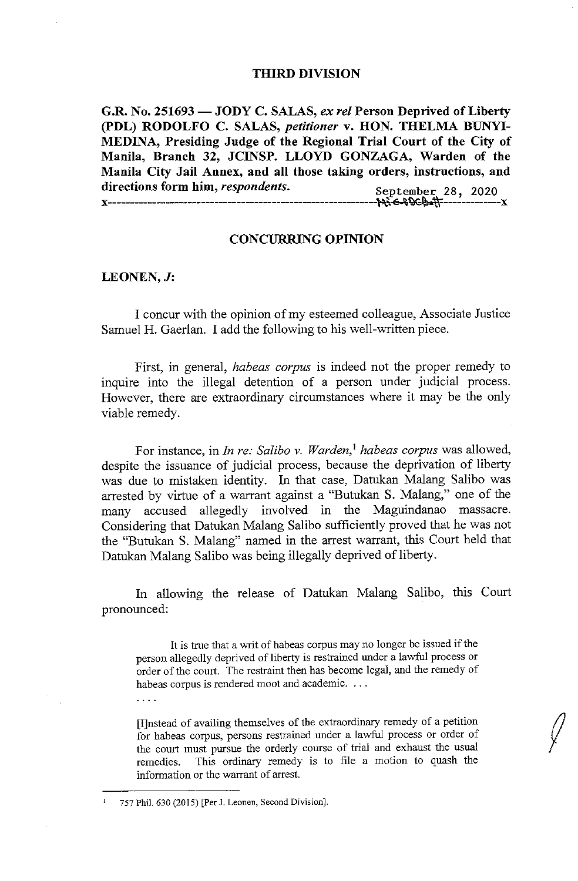### THIRD DIVISION

**G.R. No. 251693** - **JODY C. SALAS,** *ex rel* **Person Deprived of Liberty (PDL) RODOLFO C. SALAS,** *petitioner* **v. HON. THELMA BUNYI-MEDINA, Presiding Judge of the Regional Trial Court of the City of Manila, Branch 32, JCINSP. LLOYD GONZAGA, Warden of the Manila City Jail Annex, and all those taking orders, instructions, and**  directions form him, *respondents.* **X--------------·------·-------~,•~\)G.M=** ' **X** 

# **CONCURRING OPINION**

### **LEONEN,J:**

. . . .

I concur with the opinion of my esteemed colleague, Associate Justice Samuel H. Gaerlan. I add the following to his well-written piece.

First, in general, *habeas corpus* is indeed not the proper remedy to inquire into the illegal detention of a person under judicial process. However, there are extraordinary circumstances where it may be the only viable remedy.

For instance, in *In re: Salibo v. Warden*,<sup>1</sup> habeas corpus was allowed, despite the issuance of judicial process, because the deprivation of liberty was due to mistaken identity. In that case, Datukan Malang Salibo was arrested by virtue of a warrant against a "Butukan S. Malang," one of the many accused allegedly involved in the Maguindanao massacre. Considering that Datukan Malang Salibo sufficiently proved that he was not the "Butukan S. Malang" named in the arrest warrant, this Court held that Datukan Malang Salibo was being illegally deprived of liberty.

In allowing the release of Datukan Malang Salibo, this Court pronounced:

It is true that a writ of habeas corpus may no longer be issued if the person allegedly deprived of liberty is restrained under a lawful process or order of the court. The restraint then has become legal, and the remedy of habeas corpus is rendered moot and academic. . . .

[I]nstead of availing themselves of the extraordinary remedy of a petition for habeas corpus, persons restrained under a lawful process or order of the court must pursue the orderly course of trial and exhaust the usual remedies. This ordinary remedy is to file a motion to quash the information or the warrant of arrest.

 $\sqrt{2}$ 

<sup>1 757</sup> Phil. 630 (2015) [Per J. Leanen, Second Division].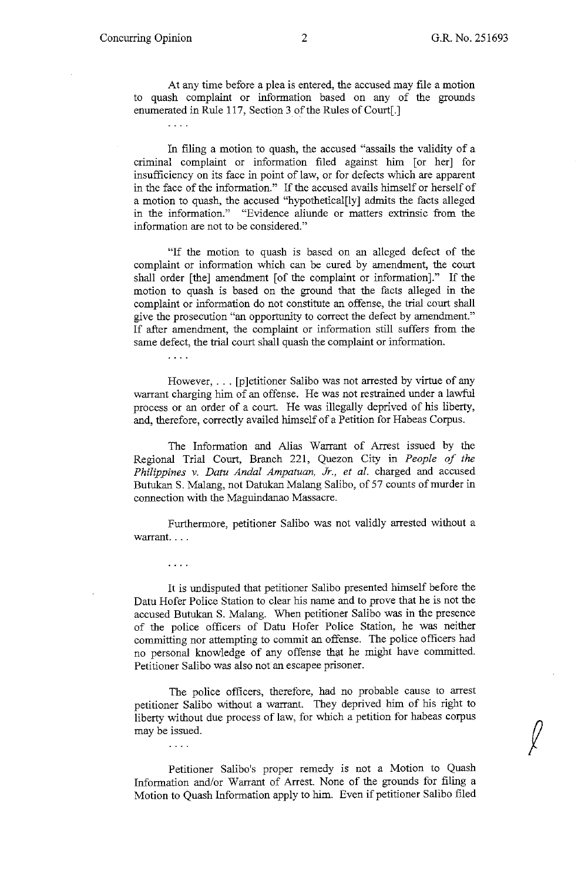$\int$ 

At any time before a plea is entered, the accused may file a motion to quash complaint or information based on any of the grounds enumerated in Rule 117, Section 3 of the Rules of Court[.]

 $\overline{a}$ 

In filing a motion to quash, the accused "assails the validity of a criminal complaint or information filed against him [or her] for insufficiency on its face in point of law, or for defects which are apparent in the face of the information." If the accused avails himself or herself of a motion to quash, the accused "hypothetical[ly] admits the facts alleged in the information." "Evidence aliunde or matters extrinsic from the information are not to be considered."

"If the motion to quash is based on an alleged defect of the complaint or information which can be cured by amendment, the court shall order [the] amendment [of the complaint or information]." If the motion to quash is based on the ground that the facts alleged in the complaint or information do not constitute an offense, the trial court shall give the prosecution "an opportunity to correct the defect by amendment." If after amendment, the complaint or information still suffers from the same defect, the trial court shall quash the complaint or information.

However, . . . [p]etitioner Salibo was not arrested by virtue of any warrant charging him of an offense. He was not restrained under a lawful process or an order of a court. He was illegally deprived of his liberty, and, therefore, correctly availed himself of a Petition for Habeas Corpus.

The Information and Alias Warrant of Arrest issued by the Regional Trial Court, Branch 221, Quezon City in *People of the Philippines* v. *Datu Anda[ Ampatuan, Jr., et al.* charged and accused Butukan S. Malang, not Datukan Malang Saliba, of 57 counts of murder in connection with the Maguindanao Massacre.

Furthermore, petitioner Saliba was not validly arrested without a warrant....

. . . .

 $\ldots$  .

 $\overline{1}$  ,  $\overline{1}$  ,  $\overline{1}$ 

It is undisputed that petitioner Saliba presented himself before the Datu Hofer Police Station to clear his name and to prove that he is not the accused Butukan S. Malang. When petitioner Saliba was in the presence of the police officers of Datu Hofer Police Station, he was neither committing nor attempting to commit an offense. The police officers had no personal knowledge of any offense that he might have committed. Petitioner Saliba was also not an escapee prisoner.

The police officers, therefore, had no probable cause to arrest petitioner Saliba without a warrant. They deprived him of his right to liberty without due process of law, for which a petition for habeas corpus may be issued.

Petitioner Salibo's proper remedy is not a Motion to Quash Information and/or Warrant of Arrest. None of the grounds for filing a Motion to Quash Information apply to him. Even if petitioner Saliba filed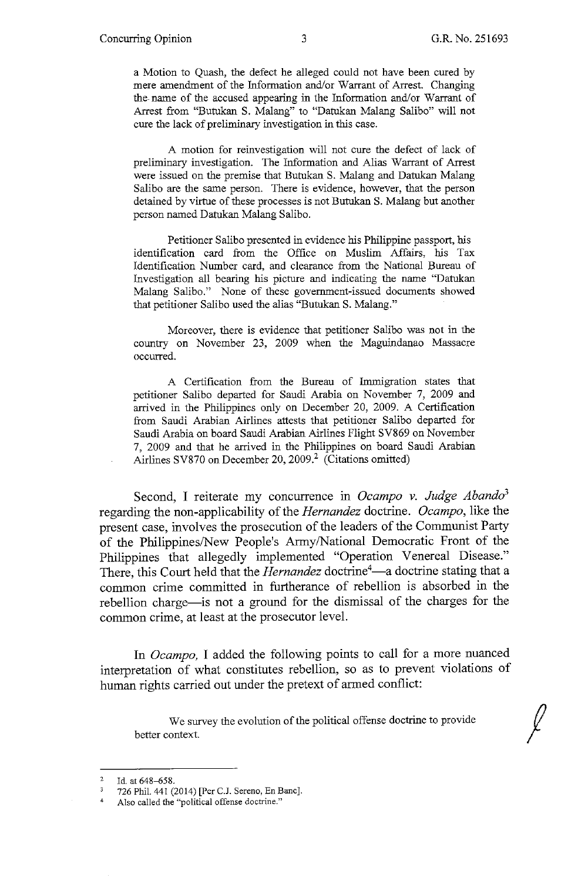a Motion to Quash, the defect he alleged could not have been cured by mere amendment of the Information and/or Warrant of Arrest. Changing the name of the accused appearing in the Information and/or Warrant of Arrest from "Butukan S. Malang" to "Datukan Malang Salibo" will not cure the lack of preliminary investigation in this case.

A motion for reinvestigation will not cure the defect of lack of preliminary investigation. The Information and Alias Warrant of Arrest were issued on the premise that Butukan S. Malang and Datukan Malang Salibo are the same person. There is evidence, however, that the person detained by virtue of these processes is not Butukan S. Malang but another person named Datukan Malang Salibo.

Petitioner Salibo presented in evidence his Philippine passport, his identification card from the Office on Muslim Affairs, his Tax Identification Number card, and clearance from the National Bureau of Investigation all bearing his picture and indicating the name "Datukan Malang Salibo." None of these government-issued documents showed that petitioner Salibo used the alias "Butukan S. Malang."

Moreover, there is evidence that petitioner Salibo was not in the country on November 23, 2009 when the Maguindanao Massacre occurred.

A Certification from the Bureau of Immigration states that petitioner Salibo departed for Saudi Arabia on November 7, 2009 and arrived in the Philippines only on December 20, 2009. A Certification from Saudi Arabian Airlines attests that petitioner Salibo departed for Saudi Arabia on board Saudi Arabian Airlines Flight SV869 on November 7, 2009 and that he arrived in the Philippines on board Saudi Arabian Airlines SV870 on December 20, 2009.<sup>2</sup> (Citations omitted)

Second, I reiterate my concurrence in *Ocampo v. Judge Abando3*  regarding the non-applicability of the *Hernandez* doctrine. *Ocampo,* like the present case, involves the prosecution of the leaders of the Communist Party of the Philippines/New People's Anny/National Democratic Front of the Philippines that allegedly implemented "Operation Venereal Disease." Philippines that allegedly implemented Operation venereal Disease.<br>There, this Court held that the *Hernandez* doctrine<sup>4</sup>—a doctrine stating that a common crime committed in furtherance of rebellion is absorbed in the rebellion charge-is not a ground for the dismissal of the charges for the common crime, at least at the prosecutor level.

In *Ocampo,* I added the following points to call for a more nuanced interpretation of what constitutes rebellion, so as to prevent violations of human rights carried out under the pretext of armed conflict:

We survey the evolution of the political offense doctrine to provide ontext. better context.

<sup>2</sup>  Id. at 648-658.

<sup>726</sup> Phil. 441 (2014) [Per C.J. Sereno, En Banc].  $\mathbf 3$ 

<sup>4</sup>  Also called the "political offense doctrine."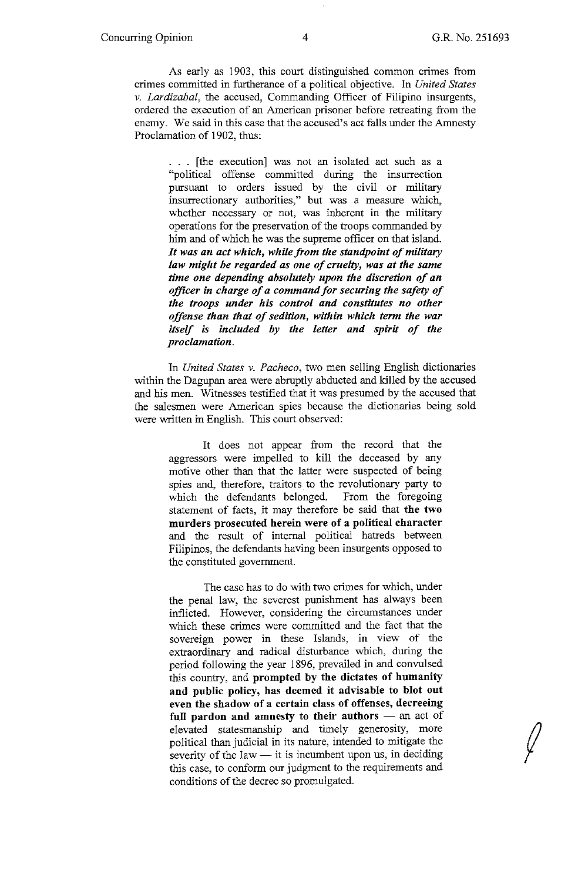$\int$ 

As early as 1903, this court distinguished common crimes from crimes committed in furtherance of a political objective. In *United States v. Lardizabal,* the accused, Commanding Officer of Filipino insurgents, ordered the execution of an American prisoner before retreating from the enemy. We said in this case that the accused's act falls under the Amnesty Proclamation of 1902, thus:

... [the execution] was not an isolated act such as a "political offense committed during the insurrection pursuant to orders issued by the civil or military insurrectionary authorities," but was a measure which, whether necessary or not, was inherent in the military operations for the preservation of the troops commanded by him and of which he was the supreme officer on that island. *It was an act which, while from the standpoint of military law might be regarded as one of cruelty, was at the same time one depending absolutely upon the discretion of an officer in charge of a command for securing the safety of the troops under his control and constitutes no other offense than that of sedition, within which term the war itself is included by the letter and spirit of the proclamation.* 

In *United States v. Pacheco,* two men selling English dictionaries within the Dagupan area were abruptly abducted and killed by the accused and his men. Witnesses testified that it was presumed by the accused that the salesmen were American spies because the dictionaries being sold were written in English. This court observed:

> It does not appear from the record that the aggressors were impelled to kill the deceased by any motive other than that the latter were suspected of being spies and, therefore, traitors to the revolutionary party to which the defendants belonged. From the foregoing statement of facts, it may therefore be said that **the two murders prosecuted herein were of a political character**  and the result of internal political hatreds between Filipinos, the defendants having been insurgents opposed to the constituted government.

> The case has to do with two crimes for which, under the penal law, the severest punishment has always been inflicted. However, considering the circumstances under which these crimes were committed and the fact that the sovereign power in these Islands, in view of the extraordinary and radical disturbance which, during the period following the year 1896, prevailed in and convulsed this country, and **prompted by the dictates of humanity and public policy, has deemed it advisable to blot out even the shadow of a certain class of offenses, decreeing**  full pardon and amnesty to their authors – an act of elevated statesmanship and timely generosity, more political than judicial in its nature, intended to mitigate the severity of the law  $-$  it is incumbent upon us, in deciding this case, to conform our judgment to the requirements and conditions of the decree so promulgated.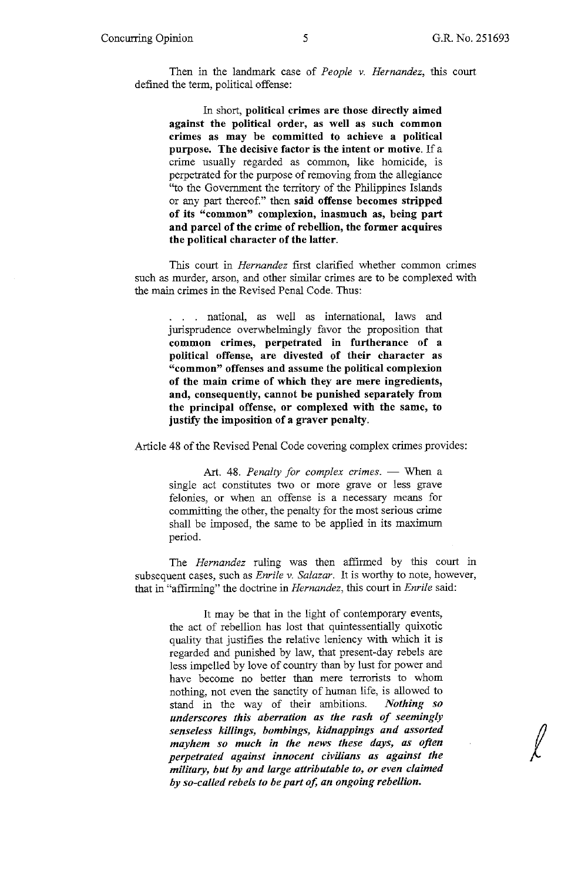$\ell$ 

Then in the landmark case of *People* v. *Hernandez, this* court defined the term, political offense:

In short, **political crimes are those directly aimed against the political order, as well as such common crimes as may be committed to achieve a political purpose. The decisive factor is the intent or motive.** If a crime usually regarded as common, like homicide, is perpetrated for the purpose of removing from the allegiance "to the Government the territory of the Philippines Islands or any part thereof." then **said offense becomes stripped of its "common" complexion, inasmuch as, being part and parcel of the crime of rebellion, the former acquires the political character of the latter.** 

This court in *Hernandez* first clarified whether common crimes such as murder, arson, and other similar crimes are to be complexed with the main crimes in the Revised Penal Code. Thus:

. national, as well as international, laws and jurisprudence overwhelmingly favor the proposition that **common crimes, perpetrated in furtherance of a political offense, are divested of their character as "common" offenses and assume the political complexion of the main crime of which they are mere ingredients, and, consequently, cannot be punished separately from the principal offense, or complexed with the same, to justify the imposition of a graver penalty.** 

Article 48 of the Revised Penal Code covering complex crimes provides:

Art. 48. Penalty for complex crimes. - When a single act constitutes two or more grave or less grave felonies, or when an offense is a necessary means for committing the other, the penalty for the most serious crime shall be imposed, the same to be applied in its maximum period.

The *Hernandez* ruling was then affirmed by *this* court in subsequent cases, such as *Enrile* v. *Salazar.* It is worthy to note, however, that in "affirming" the doctrine in *Hernandez,* this court in *Enrile* said:

It may be that in the light of contemporary events, the act of rebellion has lost that quintessentially quixotic quality that justifies the relative leniency with which it is regarded and punished by law, that present-day rebels are less impelled by love of country than by lust for power and have become no better than mere terrorists to whom nothing, not even the sanctity of human life, is allowed to stand in the way of their ambitions. *Nothing so underscores this aberration as the rash of seemingly senseless killings, bombings, kidnappings and assorted mayhem so much in the news these days, as often perpetrated against innocent civilians as against the military, but by and large attributable to, or even claimed by so-called rebels to be part of, an ongoing rebellion.*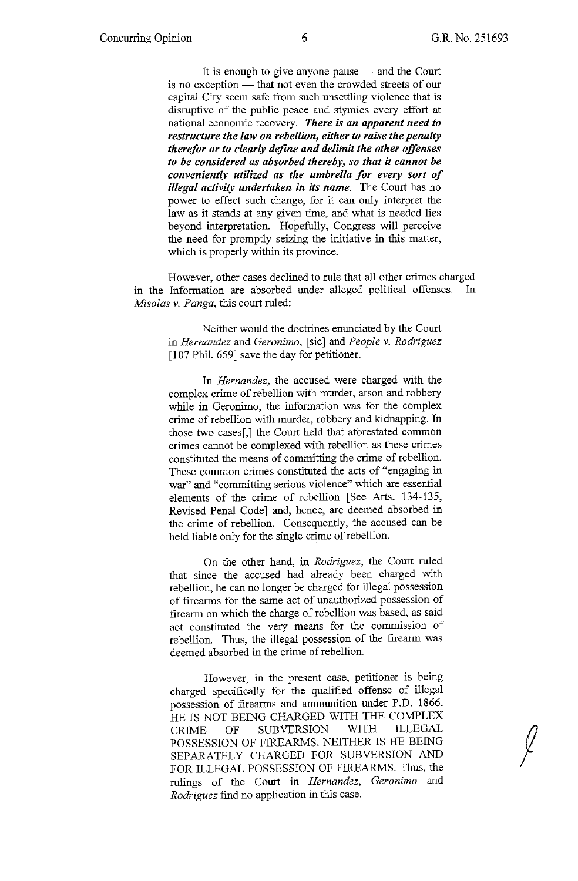$\int$ 

It is enough to give anyone pause - and the Court is no exception - that not even the crowded streets of our capital City seem safe from such unsettling violence that is disruptive of the public peace and stymies every effort at national economic recovery. *There is an apparent need to restructure the law on rebellion, either to raise the penalty therefor or to clearly define and delimit the other offenses to be considered as absorbed thereby, so that it cannot be conveniently utilized as the umbrella for every sort of illegal activity undertaken in its name.* The Court has no power to effect such change, for it can only interpret the law as it stands at any given time, and what is needed lies beyond interpretation. Hopefully, Congress will perceive the need for promptly seizing the initiative in this matter, which is properly within its province.

However, other cases declined to rule that all other crimes charged m the Information are absorbed under alleged political offenses. In *Misolas* v. *Panga,* this court ruled:

> Neither would the doctrines enunciated by the Court in *Hernandez* and *Geronimo,* [sic] and *People* v. *Rodriguez*  [107 Phil. 659] save the day for petitioner.

> In *Hernandez,* the accused were charged with the complex crime of rebellion with murder, arson and robbery while in Geronimo, the information was for the complex crime of rebellion with murder, robbery and kidnapping. In those two cases[,] the Court held that aforestated common crimes cannot be complexed with rebellion as these crimes constituted the means of committing the crime of rebellion. These common crimes constituted the acts of "engaging in war" and "committing serious violence" which are essential elements of the crime of rebellion [See Arts. 134-135, Revised Penal Code] and, hence, are deemed absorbed in the crime of rebellion. Consequently, the accused can be held liable only for the single crime of rebellion.

> On the other hand, in *Rodriguez,* the Court ruled that since the accused had already been charged with rebellion, he can no longer be charged for illegal possession of firearms for the same act of unauthorized possession of firearm on which the charge of rebellion was based, as said act constituted the very means for the commission of rebellion. Thus, the illegal possession of the firearm was deemed absorbed in the crime of rebellion.

However, in the present case, petitioner is being charged specifically for the qualified offense of illegal possession of firearms and ammunition under P.D. 1866. HE IS NOT BEING CHARGED WITH THE COMPLEX CRIME OF SUBVERSION WITH ILLEGAL POSSESSION OF FIREARMS. NEITHER IS HE BEING SEPARATELY CHARGED FOR SUBVERSION AND FOR ILLEGAL POSSESSION OF FIREARMS. Thus, the rulings of the Court in *Hernandez, Geronimo* and *Rodriguez* find no application in this case.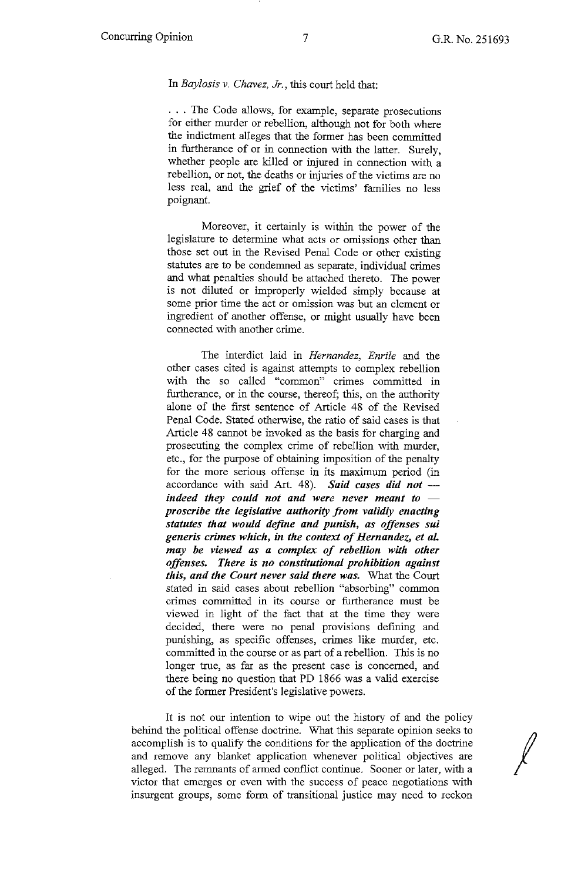*I* 

#### In *Baylosis v. Chavez, Jr.,* this court held that:

. . . The Code allows, for example, separate prosecutions for either murder or rebellion, although not for both where the indictment alleges that the former has been committed in furtherance of or in connection with the latter. Surely, whether people are killed or injured in connection with a rebellion, or not, the deaths or injuries of the victims are no less real, and the grief of the victims' families no less poignant.

Moreover, it certainly is within the power of the legislature to determine what acts or omissions other than those set out in the Revised Penal Code or other existing statutes are to be condemned as separate, individual crimes and what penalties should be attached thereto. The power is not diluted or improperly wielded simply because at some prior time the act or omission was but an element or ingredient of another offense, or might usually have been connected with another crime.

The interdict laid in *Hernandez, Enrile* and the other cases cited is against attempts to complex rebellion with the so called "common" crimes committed in furtherance, or in the course, thereof; this, on the authority alone of the first sentence of Article 48 of the Revised Penal Code. Stated otherwise, the ratio of said cases is that Article 48 cannot be invoked as the basis for charging and prosecuting the complex crime of rebellion with murder, etc., for the purpose of obtaining imposition of the penalty for the more serious offense in its maximum period (in accordance with said Art. 48). Said cases did not *indeed they could not and were never meant to proscribe the legislative authority from validly enacting statutes that would define and punish, as offenses sui generis crimes which, in the context of Hernandez, et al may be viewed as a complex of rebellion with other offenses. There* is *no constitutional prohibition against this, and the Court never said there was.* What the Court stated in said cases about rebellion "absorbing" common crimes committed in its course or furtherance must be viewed in light of the fact that at the time they were decided, there were no penal provisions defining and punishing, as specific offenses, crimes like murder, etc. committed in the course or as part of a rebellion. This is no longer true, as far as the present case is concerned, and there being no question that PD 1866 was a valid exercise of the former President's legislative powers.

It is not our intention to wipe out the history of and the policy behind the political offense doctrine. What this separate opinion seeks to accomplish is to qualify the conditions for the application of the doctrine and remove any blanket application whenever political objectives are alleged. The remnants of armed conflict continue. Sooner or later, with a victor that emerges or even with the success of peace negotiations with insurgent groups, some form of transitional justice may need to reckon